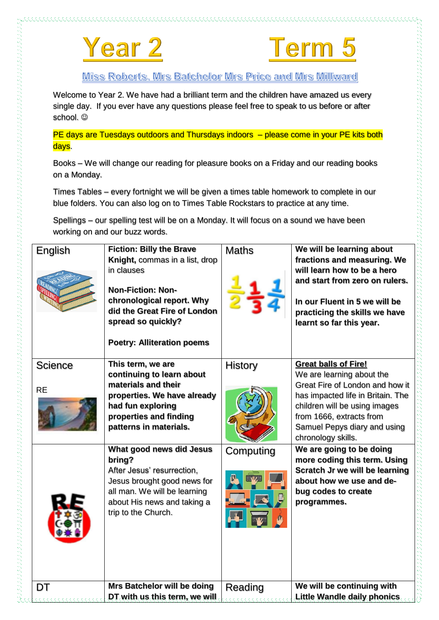



Miss Roberts, Mrs Batchelor Mrs Price and Mrs Millward

Welcome to Year 2. We have had a brilliant term and the children have amazed us every single day. If you ever have any questions please feel free to speak to us before or after school.  $\odot$ 

PE days are Tuesdays outdoors and Thursdays indoors – please come in your PE kits both days.

Books – We will change our reading for pleasure books on a Friday and our reading books on a Monday.

Times Tables – every fortnight we will be given a times table homework to complete in our blue folders. You can also log on to Times Table Rockstars to practice at any time.

Spellings – our spelling test will be on a Monday. It will focus on a sound we have been working on and our buzz words.

| English              | <b>Fiction: Billy the Brave</b><br>Knight, commas in a list, drop<br>in clauses<br><b>Non-Fiction: Non-</b><br>chronological report. Why<br>did the Great Fire of London<br>spread so quickly?<br><b>Poetry: Alliteration poems</b> | <b>Maths</b> | We will be learning about<br>fractions and measuring. We<br>will learn how to be a hero<br>and start from zero on rulers.<br>In our Fluent in 5 we will be<br>practicing the skills we have<br>learnt so far this year.                             |
|----------------------|-------------------------------------------------------------------------------------------------------------------------------------------------------------------------------------------------------------------------------------|--------------|-----------------------------------------------------------------------------------------------------------------------------------------------------------------------------------------------------------------------------------------------------|
| Science<br><b>RE</b> | This term, we are<br>continuing to learn about<br>materials and their<br>properties. We have already<br>had fun exploring<br>properties and finding<br>patterns in materials.                                                       | History      | <b>Great balls of Fire!</b><br>We are learning about the<br>Great Fire of London and how it<br>has impacted life in Britain. The<br>children will be using images<br>from 1666, extracts from<br>Samuel Pepys diary and using<br>chronology skills. |
|                      | What good news did Jesus<br>bring?<br>After Jesus' resurrection,<br>Jesus brought good news for<br>all man. We will be learning<br>about His news and taking a<br>trip to the Church.                                               | Computing    | We are going to be doing<br>more coding this term. Using<br>Scratch Jr we will be learning<br>about how we use and de-<br>bug codes to create<br>programmes.                                                                                        |
| DT                   | Mrs Batchelor will be doing<br>DT with us this term, we will                                                                                                                                                                        | Reading      | We will be continuing with<br>Little Wandle daily phonics.                                                                                                                                                                                          |